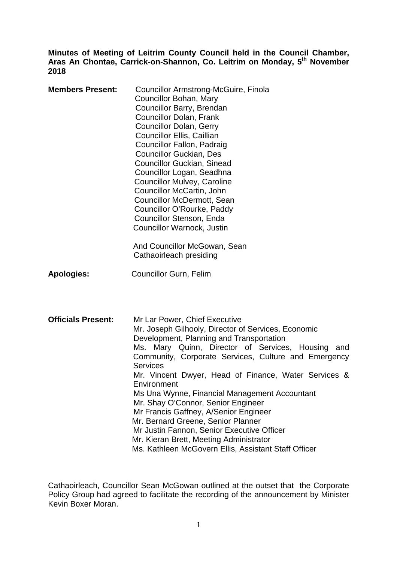**Minutes of Meeting of Leitrim County Council held in the Council Chamber, Aras An Chontae, Carrick-on-Shannon, Co. Leitrim on Monday, 5th November 2018** 

| <b>Members Present:</b>   | <b>Councillor Armstrong-McGuire, Finola</b><br>Councillor Bohan, Mary<br>Councillor Barry, Brendan<br>Councillor Dolan, Frank<br><b>Councillor Dolan, Gerry</b><br><b>Councillor Ellis, Caillian</b><br>Councillor Fallon, Padraig<br><b>Councillor Guckian, Des</b><br><b>Councillor Guckian, Sinead</b><br>Councillor Logan, Seadhna<br><b>Councillor Mulvey, Caroline</b><br>Councillor McCartin, John<br><b>Councillor McDermott, Sean</b><br>Councillor O'Rourke, Paddy<br>Councillor Stenson, Enda<br>Councillor Warnock, Justin<br>And Councillor McGowan, Sean<br>Cathaoirleach presiding                                                                 |
|---------------------------|-------------------------------------------------------------------------------------------------------------------------------------------------------------------------------------------------------------------------------------------------------------------------------------------------------------------------------------------------------------------------------------------------------------------------------------------------------------------------------------------------------------------------------------------------------------------------------------------------------------------------------------------------------------------|
| <b>Apologies:</b>         | <b>Councillor Gurn, Felim</b>                                                                                                                                                                                                                                                                                                                                                                                                                                                                                                                                                                                                                                     |
| <b>Officials Present:</b> | Mr Lar Power, Chief Executive<br>Mr. Joseph Gilhooly, Director of Services, Economic<br>Development, Planning and Transportation<br>Ms. Mary Quinn, Director of Services, Housing<br>and<br>Community, Corporate Services, Culture and Emergency<br><b>Services</b><br>Mr. Vincent Dwyer, Head of Finance, Water Services &<br>Environment<br>Ms Una Wynne, Financial Management Accountant<br>Mr. Shay O'Connor, Senior Engineer<br>Mr Francis Gaffney, A/Senior Engineer<br>Mr. Bernard Greene, Senior Planner<br>Mr Justin Fannon, Senior Executive Officer<br>Mr. Kieran Brett, Meeting Administrator<br>Ms. Kathleen McGovern Ellis, Assistant Staff Officer |

Cathaoirleach, Councillor Sean McGowan outlined at the outset that the Corporate Policy Group had agreed to facilitate the recording of the announcement by Minister Kevin Boxer Moran.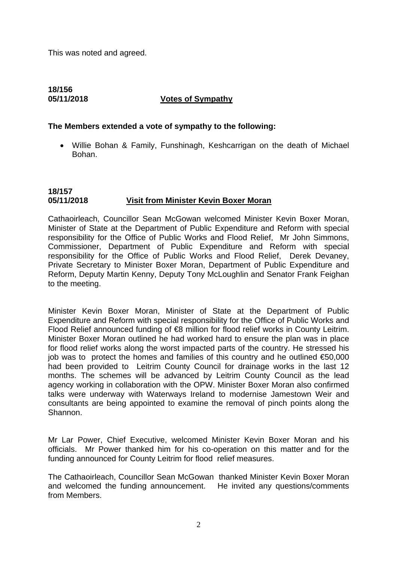This was noted and agreed.

# **18/156 05/11/2018 Votes of Sympathy**

### **The Members extended a vote of sympathy to the following:**

• Willie Bohan & Family, Funshinagh, Keshcarrigan on the death of Michael Bohan.

# **18/157 05/11/2018 Visit from Minister Kevin Boxer Moran**

Cathaoirleach, Councillor Sean McGowan welcomed Minister Kevin Boxer Moran, Minister of State at the Department of Public Expenditure and Reform with special responsibility for the Office of Public Works and Flood Relief, Mr John Simmons, Commissioner, Department of Public Expenditure and Reform with special responsibility for the Office of Public Works and Flood Relief, Derek Devaney, Private Secretary to Minister Boxer Moran, Department of Public Expenditure and Reform, Deputy Martin Kenny, Deputy Tony McLoughlin and Senator Frank Feighan to the meeting.

Minister Kevin Boxer Moran, Minister of State at the Department of Public Expenditure and Reform with special responsibility for the Office of Public Works and Flood Relief announced funding of €8 million for flood relief works in County Leitrim. Minister Boxer Moran outlined he had worked hard to ensure the plan was in place for flood relief works along the worst impacted parts of the country. He stressed his iob was to protect the homes and families of this country and he outlined  $€50,000$ had been provided to Leitrim County Council for drainage works in the last 12 months. The schemes will be advanced by Leitrim County Council as the lead agency working in collaboration with the OPW. Minister Boxer Moran also confirmed talks were underway with Waterways Ireland to modernise Jamestown Weir and consultants are being appointed to examine the removal of pinch points along the Shannon.

Mr Lar Power, Chief Executive, welcomed Minister Kevin Boxer Moran and his officials. Mr Power thanked him for his co-operation on this matter and for the funding announced for County Leitrim for flood relief measures.

The Cathaoirleach, Councillor Sean McGowan thanked Minister Kevin Boxer Moran and welcomed the funding announcement. He invited any questions/comments from Members.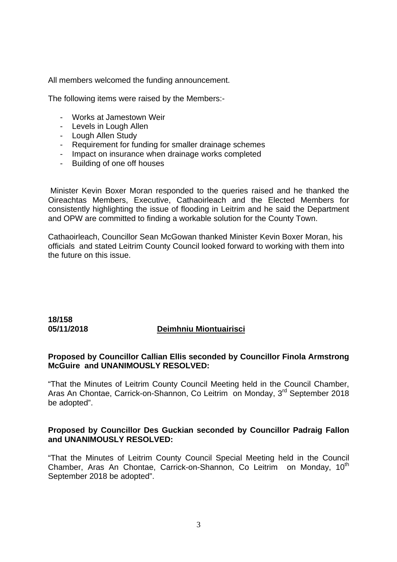All members welcomed the funding announcement.

The following items were raised by the Members:-

- Works at Jamestown Weir
- Levels in Lough Allen
- Lough Allen Study
- Requirement for funding for smaller drainage schemes
- Impact on insurance when drainage works completed
- Building of one off houses

 Minister Kevin Boxer Moran responded to the queries raised and he thanked the Oireachtas Members, Executive, Cathaoirleach and the Elected Members for consistently highlighting the issue of flooding in Leitrim and he said the Department and OPW are committed to finding a workable solution for the County Town.

Cathaoirleach, Councillor Sean McGowan thanked Minister Kevin Boxer Moran, his officials and stated Leitrim County Council looked forward to working with them into the future on this issue.

# **18/158**

# **05/11/2018 Deimhniu Miontuairisci**

# **Proposed by Councillor Callian Ellis seconded by Councillor Finola Armstrong McGuire and UNANIMOUSLY RESOLVED:**

"That the Minutes of Leitrim County Council Meeting held in the Council Chamber, Aras An Chontae, Carrick-on-Shannon, Co Leitrim on Monday, 3<sup>rd</sup> September 2018 be adopted".

# **Proposed by Councillor Des Guckian seconded by Councillor Padraig Fallon and UNANIMOUSLY RESOLVED:**

"That the Minutes of Leitrim County Council Special Meeting held in the Council Chamber, Aras An Chontae, Carrick-on-Shannon, Co Leitrim on Monday, 10<sup>th</sup> September 2018 be adopted".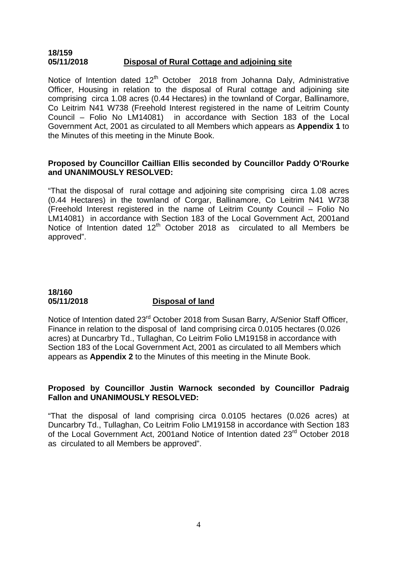### **18/159 05/11/2018 Disposal of Rural Cottage and adjoining site**

Notice of Intention dated  $12<sup>th</sup>$  October 2018 from Johanna Daly, Administrative Officer, Housing in relation to the disposal of Rural cottage and adjoining site comprising circa 1.08 acres (0.44 Hectares) in the townland of Corgar, Ballinamore, Co Leitrim N41 W738 (Freehold Interest registered in the name of Leitrim County Council – Folio No LM14081) in accordance with Section 183 of the Local Government Act, 2001 as circulated to all Members which appears as **Appendix 1** to the Minutes of this meeting in the Minute Book.

# **Proposed by Councillor Caillian Ellis seconded by Councillor Paddy O'Rourke and UNANIMOUSLY RESOLVED:**

"That the disposal of rural cottage and adjoining site comprising circa 1.08 acres (0.44 Hectares) in the townland of Corgar, Ballinamore, Co Leitrim N41 W738 (Freehold Interest registered in the name of Leitrim County Council – Folio No LM14081) in accordance with Section 183 of the Local Government Act, 2001and Notice of Intention dated  $12<sup>th</sup>$  October 2018 as circulated to all Members be approved".

# **18/160**

# **05/11/2018 Disposal of land**

Notice of Intention dated 23<sup>rd</sup> October 2018 from Susan Barry, A/Senior Staff Officer, Finance in relation to the disposal of land comprising circa 0.0105 hectares (0.026 acres) at Duncarbry Td., Tullaghan, Co Leitrim Folio LM19158 in accordance with Section 183 of the Local Government Act, 2001 as circulated to all Members which appears as **Appendix 2** to the Minutes of this meeting in the Minute Book.

# **Proposed by Councillor Justin Warnock seconded by Councillor Padraig Fallon and UNANIMOUSLY RESOLVED:**

"That the disposal of land comprising circa 0.0105 hectares (0.026 acres) at Duncarbry Td., Tullaghan, Co Leitrim Folio LM19158 in accordance with Section 183 of the Local Government Act, 2001and Notice of Intention dated 23<sup>rd</sup> October 2018 as circulated to all Members be approved".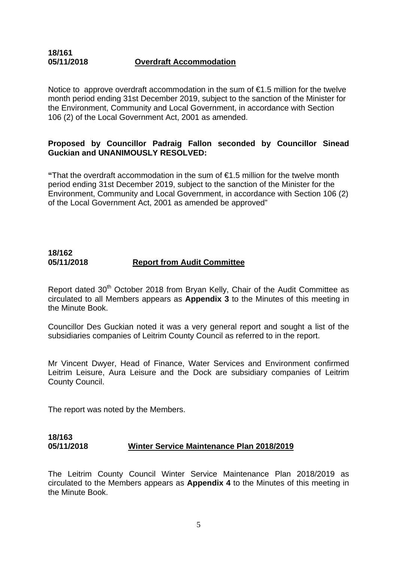# **18/161 05/11/2018 Overdraft Accommodation**

Notice to approve overdraft accommodation in the sum of  $\epsilon$ 1.5 million for the twelve month period ending 31st December 2019, subject to the sanction of the Minister for the Environment, Community and Local Government, in accordance with Section 106 (2) of the Local Government Act, 2001 as amended.

# **Proposed by Councillor Padraig Fallon seconded by Councillor Sinead Guckian and UNANIMOUSLY RESOLVED:**

**"**That the overdraft accommodation in the sum of €1.5 million for the twelve month period ending 31st December 2019, subject to the sanction of the Minister for the Environment, Community and Local Government, in accordance with Section 106 (2) of the Local Government Act, 2001 as amended be approved"

# **18/162 05/11/2018 Report from Audit Committee**

Report dated 30<sup>th</sup> October 2018 from Brvan Kelly, Chair of the Audit Committee as circulated to all Members appears as **Appendix 3** to the Minutes of this meeting in the Minute Book.

Councillor Des Guckian noted it was a very general report and sought a list of the subsidiaries companies of Leitrim County Council as referred to in the report.

Mr Vincent Dwyer, Head of Finance, Water Services and Environment confirmed Leitrim Leisure, Aura Leisure and the Dock are subsidiary companies of Leitrim County Council.

The report was noted by the Members.

# **18/163 05/11/2018 Winter Service Maintenance Plan 2018/2019**

The Leitrim County Council Winter Service Maintenance Plan 2018/2019 as circulated to the Members appears as **Appendix 4** to the Minutes of this meeting in the Minute Book.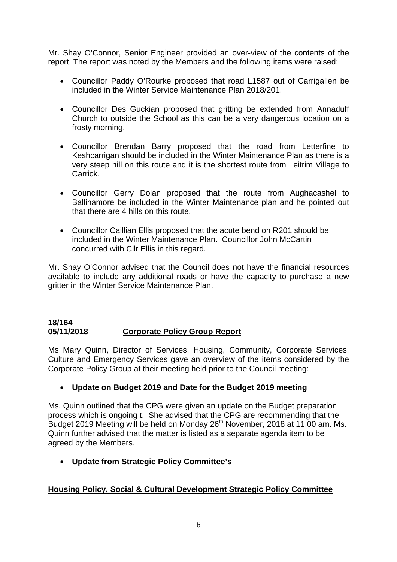Mr. Shay O'Connor, Senior Engineer provided an over-view of the contents of the report. The report was noted by the Members and the following items were raised:

- Councillor Paddy O'Rourke proposed that road L1587 out of Carrigallen be included in the Winter Service Maintenance Plan 2018/201.
- Councillor Des Guckian proposed that gritting be extended from Annaduff Church to outside the School as this can be a very dangerous location on a frosty morning.
- Councillor Brendan Barry proposed that the road from Letterfine to Keshcarrigan should be included in the Winter Maintenance Plan as there is a very steep hill on this route and it is the shortest route from Leitrim Village to Carrick.
- Councillor Gerry Dolan proposed that the route from Aughacashel to Ballinamore be included in the Winter Maintenance plan and he pointed out that there are 4 hills on this route.
- Councillor Caillian Ellis proposed that the acute bend on R201 should be included in the Winter Maintenance Plan. Councillor John McCartin concurred with Cllr Ellis in this regard.

Mr. Shay O'Connor advised that the Council does not have the financial resources available to include any additional roads or have the capacity to purchase a new gritter in the Winter Service Maintenance Plan.

# **18/164 05/11/2018 Corporate Policy Group Report**

Ms Mary Quinn, Director of Services, Housing, Community, Corporate Services, Culture and Emergency Services gave an overview of the items considered by the Corporate Policy Group at their meeting held prior to the Council meeting:

# • **Update on Budget 2019 and Date for the Budget 2019 meeting**

Ms. Quinn outlined that the CPG were given an update on the Budget preparation process which is ongoing t. She advised that the CPG are recommending that the Budget 2019 Meeting will be held on Monday 26th November, 2018 at 11.00 am. Ms. Quinn further advised that the matter is listed as a separate agenda item to be agreed by the Members.

• **Update from Strategic Policy Committee's** 

# **Housing Policy, Social & Cultural Development Strategic Policy Committee**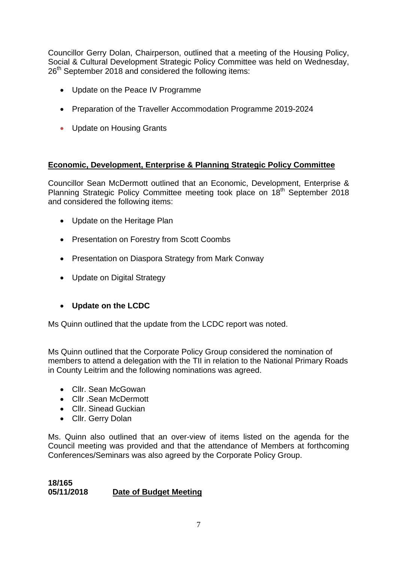Councillor Gerry Dolan, Chairperson, outlined that a meeting of the Housing Policy, Social & Cultural Development Strategic Policy Committee was held on Wednesday, 26<sup>th</sup> September 2018 and considered the following items:

- Update on the Peace IV Programme
- Preparation of the Traveller Accommodation Programme 2019-2024
- Update on Housing Grants

# **Economic, Development, Enterprise & Planning Strategic Policy Committee**

Councillor Sean McDermott outlined that an Economic, Development, Enterprise & Planning Strategic Policy Committee meeting took place on 18<sup>th</sup> September 2018 and considered the following items:

- Update on the Heritage Plan
- Presentation on Forestry from Scott Coombs
- Presentation on Diaspora Strategy from Mark Conway
- Update on Digital Strategy

# • **Update on the LCDC**

Ms Quinn outlined that the update from the LCDC report was noted.

Ms Quinn outlined that the Corporate Policy Group considered the nomination of members to attend a delegation with the TII in relation to the National Primary Roads in County Leitrim and the following nominations was agreed.

- Cllr. Sean McGowan
- Cllr .Sean McDermott
- Cllr. Sinead Guckian
- Cllr. Gerry Dolan

Ms. Quinn also outlined that an over-view of items listed on the agenda for the Council meeting was provided and that the attendance of Members at forthcoming Conferences/Seminars was also agreed by the Corporate Policy Group.

# **18/165 05/11/2018 Date of Budget Meeting**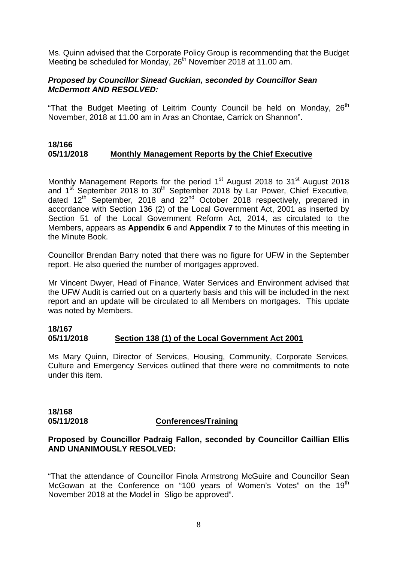Ms. Quinn advised that the Corporate Policy Group is recommending that the Budget Meeting be scheduled for Monday,  $26<sup>th</sup>$  November 2018 at 11.00 am.

# *Proposed by Councillor Sinead Guckian, seconded by Councillor Sean McDermott AND RESOLVED:*

"That the Budget Meeting of Leitrim County Council be held on Monday, 26<sup>th</sup> November, 2018 at 11.00 am in Aras an Chontae, Carrick on Shannon".

### **18/166 05/11/2018 Monthly Management Reports by the Chief Executive**

Monthly Management Reports for the period 1<sup>st</sup> August 2018 to 31<sup>st</sup> August 2018 and  $1<sup>st</sup>$  September 2018 to 30<sup>th</sup> September 2018 by Lar Power, Chief Executive, dated  $12<sup>th</sup>$  September, 2018 and  $22<sup>nd</sup>$  October 2018 respectively, prepared in accordance with Section 136 (2) of the Local Government Act, 2001 as inserted by Section 51 of the Local Government Reform Act, 2014, as circulated to the Members, appears as **Appendix 6** and **Appendix 7** to the Minutes of this meeting in the Minute Book.

Councillor Brendan Barry noted that there was no figure for UFW in the September report. He also queried the number of mortgages approved.

Mr Vincent Dwyer, Head of Finance, Water Services and Environment advised that the UFW Audit is carried out on a quarterly basis and this will be included in the next report and an update will be circulated to all Members on mortgages. This update was noted by Members.

#### **18/167 05/11/2018 Section 138 (1) of the Local Government Act 2001**

Ms Mary Quinn, Director of Services, Housing, Community, Corporate Services, Culture and Emergency Services outlined that there were no commitments to note under this item.

**18/168** 

# **05/11/2018 Conferences/Training**

# **Proposed by Councillor Padraig Fallon, seconded by Councillor Caillian Ellis AND UNANIMOUSLY RESOLVED:**

"That the attendance of Councillor Finola Armstrong McGuire and Councillor Sean McGowan at the Conference on "100 years of Women's Votes" on the 19<sup>th</sup> November 2018 at the Model in Sligo be approved".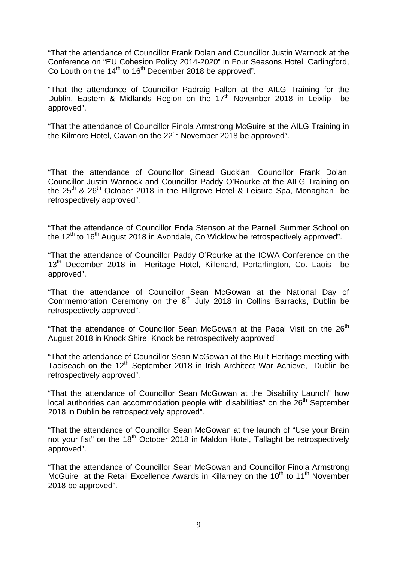"That the attendance of Councillor Frank Dolan and Councillor Justin Warnock at the Conference on "EU Cohesion Policy 2014-2020" in Four Seasons Hotel, Carlingford, Co Louth on the  $14<sup>th</sup>$  to  $16<sup>th</sup>$  December 2018 be approved".

"That the attendance of Councillor Padraig Fallon at the AILG Training for the Dublin, Eastern & Midlands Region on the  $17<sup>th</sup>$  November 2018 in Leixlip be approved".

"That the attendance of Councillor Finola Armstrong McGuire at the AILG Training in the Kilmore Hotel, Cavan on the 22<sup>nd</sup> November 2018 be approved".

"That the attendance of Councillor Sinead Guckian, Councillor Frank Dolan, Councillor Justin Warnock and Councillor Paddy O'Rourke at the AILG Training on the  $25<sup>th</sup>$  &  $26<sup>th</sup>$  October 2018 in the Hillgrove Hotel & Leisure Spa, Monaghan be retrospectively approved".

"That the attendance of Councillor Enda Stenson at the Parnell Summer School on the  $12<sup>th</sup>$  to 16<sup>th</sup> August 2018 in Avondale, Co Wicklow be retrospectively approved".

"That the attendance of Councillor Paddy O'Rourke at the IOWA Conference on the 13<sup>th</sup> December 2018 in Heritage Hotel, Killenard, Portarlington, Co. Laois be approved".

"That the attendance of Councillor Sean McGowan at the National Day of Commemoration Ceremony on the 8<sup>th</sup> July 2018 in Collins Barracks, Dublin be retrospectively approved".

"That the attendance of Councillor Sean McGowan at the Papal Visit on the  $26<sup>th</sup>$ August 2018 in Knock Shire, Knock be retrospectively approved".

"That the attendance of Councillor Sean McGowan at the Built Heritage meeting with Taoiseach on the 12<sup>th</sup> September 2018 in Irish Architect War Achieve, Dublin be retrospectively approved".

"That the attendance of Councillor Sean McGowan at the Disability Launch" how local authorities can accommodation people with disabilities" on the 26<sup>th</sup> September 2018 in Dublin be retrospectively approved".

"That the attendance of Councillor Sean McGowan at the launch of "Use your Brain not your fist" on the 18<sup>th</sup> October 2018 in Maldon Hotel, Tallaght be retrospectively approved".

"That the attendance of Councillor Sean McGowan and Councillor Finola Armstrong McGuire at the Retail Excellence Awards in Killarney on the 10<sup>th</sup> to 11<sup>th</sup> November 2018 be approved".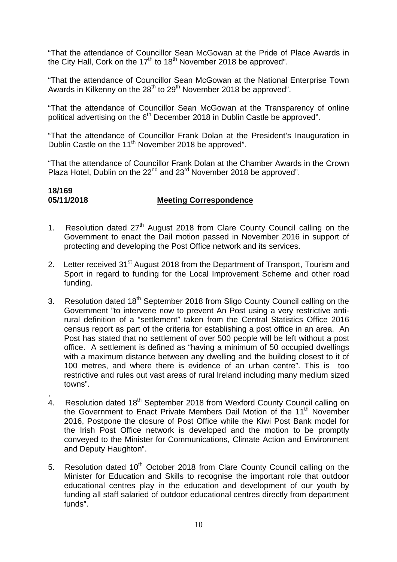"That the attendance of Councillor Sean McGowan at the Pride of Place Awards in the City Hall, Cork on the  $17<sup>th</sup>$  to  $18<sup>th</sup>$  November 2018 be approved".

"That the attendance of Councillor Sean McGowan at the National Enterprise Town Awards in Kilkenny on the  $28<sup>th</sup>$  to  $29<sup>th</sup>$  November 2018 be approved".

"That the attendance of Councillor Sean McGowan at the Transparency of online political advertising on the 6<sup>th</sup> December 2018 in Dublin Castle be approved".

"That the attendance of Councillor Frank Dolan at the President's Inauguration in Dublin Castle on the 11<sup>th</sup> November 2018 be approved".

"That the attendance of Councillor Frank Dolan at the Chamber Awards in the Crown Plaza Hotel, Dublin on the 22<sup>nd</sup> and 23<sup>rd</sup> November 2018 be approved".

# **18/169 05/11/2018 Meeting Correspondence**

- 1. Resolution dated  $27<sup>th</sup>$  August 2018 from Clare County Council calling on the Government to enact the Dail motion passed in November 2016 in support of protecting and developing the Post Office network and its services.
- 2. Letter received 31<sup>st</sup> August 2018 from the Department of Transport, Tourism and Sport in regard to funding for the Local Improvement Scheme and other road funding.
- 3. Resolution dated 18<sup>th</sup> September 2018 from Sligo County Council calling on the Government "to intervene now to prevent An Post using a very restrictive antirural definition of a "settlement" taken from the Central Statistics Office 2016 census report as part of the criteria for establishing a post office in an area. An Post has stated that no settlement of over 500 people will be left without a post office. A settlement is defined as "having a minimum of 50 occupied dwellings with a maximum distance between any dwelling and the building closest to it of 100 metres, and where there is evidence of an urban centre". This is too restrictive and rules out vast areas of rural Ireland including many medium sized towns".
- , 4. Resolution dated 18<sup>th</sup> September 2018 from Wexford County Council calling on the Government to Enact Private Members Dail Motion of the 11<sup>th</sup> November 2016, Postpone the closure of Post Office while the Kiwi Post Bank model for the Irish Post Office network is developed and the motion to be promptly conveyed to the Minister for Communications, Climate Action and Environment and Deputy Haughton".
- 5. Resolution dated 10<sup>th</sup> October 2018 from Clare County Council calling on the Minister for Education and Skills to recognise the important role that outdoor educational centres play in the education and development of our youth by funding all staff salaried of outdoor educational centres directly from department funds".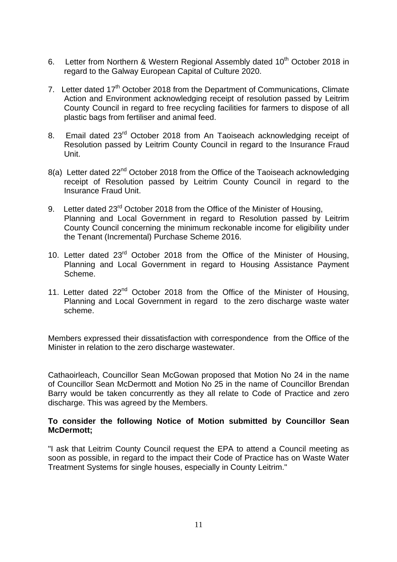- 6. Letter from Northern & Western Regional Assembly dated 10<sup>th</sup> October 2018 in regard to the Galway European Capital of Culture 2020.
- 7. Letter dated 17<sup>th</sup> October 2018 from the Department of Communications, Climate Action and Environment acknowledging receipt of resolution passed by Leitrim County Council in regard to free recycling facilities for farmers to dispose of all plastic bags from fertiliser and animal feed.
- 8. Email dated 23<sup>rd</sup> October 2018 from An Taoiseach acknowledging receipt of Resolution passed by Leitrim County Council in regard to the Insurance Fraud Unit.
- 8(a) Letter dated 22<sup>nd</sup> October 2018 from the Office of the Taoiseach acknowledging receipt of Resolution passed by Leitrim County Council in regard to the Insurance Fraud Unit.
- 9. Letter dated 23<sup>rd</sup> October 2018 from the Office of the Minister of Housing, Planning and Local Government in regard to Resolution passed by Leitrim County Council concerning the minimum reckonable income for eligibility under the Tenant (Incremental) Purchase Scheme 2016.
- 10. Letter dated 23<sup>rd</sup> October 2018 from the Office of the Minister of Housing, Planning and Local Government in regard to Housing Assistance Payment Scheme.
- 11. Letter dated 22<sup>nd</sup> October 2018 from the Office of the Minister of Housing, Planning and Local Government in regard to the zero discharge waste water scheme.

Members expressed their dissatisfaction with correspondence from the Office of the Minister in relation to the zero discharge wastewater.

Cathaoirleach, Councillor Sean McGowan proposed that Motion No 24 in the name of Councillor Sean McDermott and Motion No 25 in the name of Councillor Brendan Barry would be taken concurrently as they all relate to Code of Practice and zero discharge. This was agreed by the Members.

# **To consider the following Notice of Motion submitted by Councillor Sean McDermott;**

"I ask that Leitrim County Council request the EPA to attend a Council meeting as soon as possible, in regard to the impact their Code of Practice has on Waste Water Treatment Systems for single houses, especially in County Leitrim."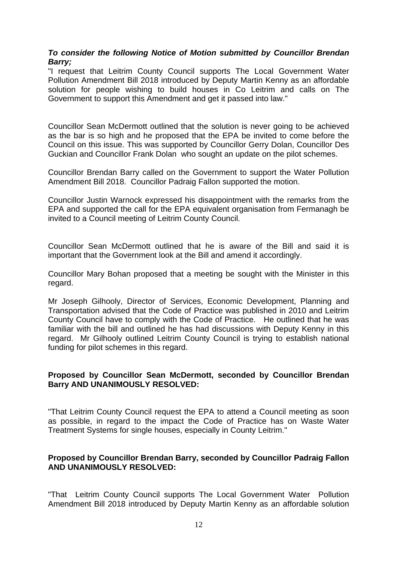# *To consider the following Notice of Motion submitted by Councillor Brendan Barry;*

"I request that Leitrim County Council supports The Local Government Water Pollution Amendment Bill 2018 introduced by Deputy Martin Kenny as an affordable solution for people wishing to build houses in Co Leitrim and calls on The Government to support this Amendment and get it passed into law."

Councillor Sean McDermott outlined that the solution is never going to be achieved as the bar is so high and he proposed that the EPA be invited to come before the Council on this issue. This was supported by Councillor Gerry Dolan, Councillor Des Guckian and Councillor Frank Dolan who sought an update on the pilot schemes.

Councillor Brendan Barry called on the Government to support the Water Pollution Amendment Bill 2018. Councillor Padraig Fallon supported the motion.

Councillor Justin Warnock expressed his disappointment with the remarks from the EPA and supported the call for the EPA equivalent organisation from Fermanagh be invited to a Council meeting of Leitrim County Council.

Councillor Sean McDermott outlined that he is aware of the Bill and said it is important that the Government look at the Bill and amend it accordingly.

Councillor Mary Bohan proposed that a meeting be sought with the Minister in this regard.

Mr Joseph Gilhooly, Director of Services, Economic Development, Planning and Transportation advised that the Code of Practice was published in 2010 and Leitrim County Council have to comply with the Code of Practice. He outlined that he was familiar with the bill and outlined he has had discussions with Deputy Kenny in this regard. Mr Gilhooly outlined Leitrim County Council is trying to establish national funding for pilot schemes in this regard.

# **Proposed by Councillor Sean McDermott, seconded by Councillor Brendan Barry AND UNANIMOUSLY RESOLVED:**

"That Leitrim County Council request the EPA to attend a Council meeting as soon as possible, in regard to the impact the Code of Practice has on Waste Water Treatment Systems for single houses, especially in County Leitrim."

# **Proposed by Councillor Brendan Barry, seconded by Councillor Padraig Fallon AND UNANIMOUSLY RESOLVED:**

"That Leitrim County Council supports The Local Government Water Pollution Amendment Bill 2018 introduced by Deputy Martin Kenny as an affordable solution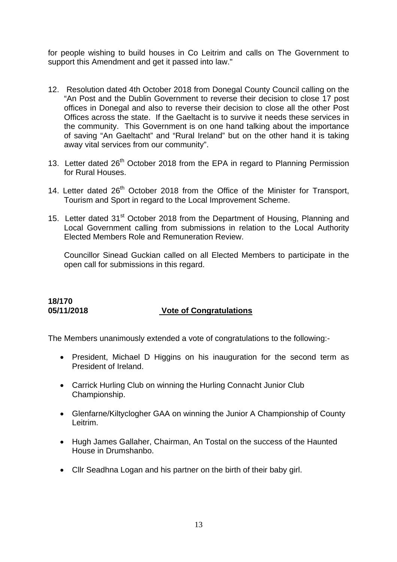for people wishing to build houses in Co Leitrim and calls on The Government to support this Amendment and get it passed into law."

- 12. Resolution dated 4th October 2018 from Donegal County Council calling on the "An Post and the Dublin Government to reverse their decision to close 17 post offices in Donegal and also to reverse their decision to close all the other Post Offices across the state. If the Gaeltacht is to survive it needs these services in the community. This Government is on one hand talking about the importance of saving "An Gaeltacht" and "Rural Ireland" but on the other hand it is taking away vital services from our community".
- 13. Letter dated 26<sup>th</sup> October 2018 from the EPA in regard to Planning Permission for Rural Houses.
- 14. Letter dated  $26<sup>th</sup>$  October 2018 from the Office of the Minister for Transport, Tourism and Sport in regard to the Local Improvement Scheme.
- 15. Letter dated 31<sup>st</sup> October 2018 from the Department of Housing, Planning and Local Government calling from submissions in relation to the Local Authority Elected Members Role and Remuneration Review.

Councillor Sinead Guckian called on all Elected Members to participate in the open call for submissions in this regard.

# **18/170**

# **05/11/2018 Vote of Congratulations**

The Members unanimously extended a vote of congratulations to the following:-

- President, Michael D Higgins on his inauguration for the second term as President of Ireland.
- Carrick Hurling Club on winning the Hurling Connacht Junior Club Championship.
- Glenfarne/Kiltyclogher GAA on winning the Junior A Championship of County Leitrim.
- Hugh James Gallaher, Chairman, An Tostal on the success of the Haunted House in Drumshanbo.
- Cllr Seadhna Logan and his partner on the birth of their baby girl.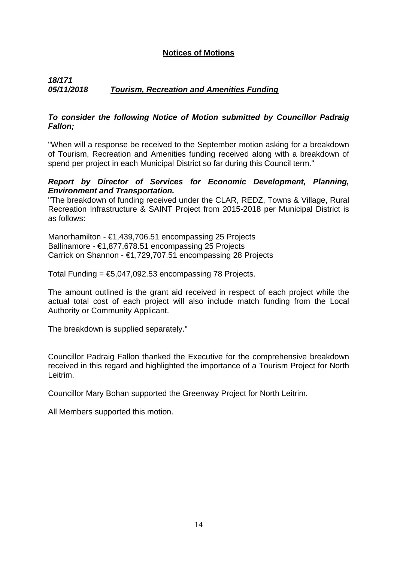# **Notices of Motions**

# *18/171 05/11/2018 Tourism, Recreation and Amenities Funding*

# *To consider the following Notice of Motion submitted by Councillor Padraig Fallon;*

"When will a response be received to the September motion asking for a breakdown of Tourism, Recreation and Amenities funding received along with a breakdown of spend per project in each Municipal District so far during this Council term."

### *Report by Director of Services for Economic Development, Planning, Environment and Transportation.*

"The breakdown of funding received under the CLAR, REDZ, Towns & Village, Rural Recreation Infrastructure & SAINT Project from 2015-2018 per Municipal District is as follows:

Manorhamilton - €1,439,706.51 encompassing 25 Projects Ballinamore - €1,877,678.51 encompassing 25 Projects Carrick on Shannon - €1,729,707.51 encompassing 28 Projects

Total Funding =  $$5,047,092.53$  encompassing 78 Projects.

The amount outlined is the grant aid received in respect of each project while the actual total cost of each project will also include match funding from the Local Authority or Community Applicant.

The breakdown is supplied separately."

Councillor Padraig Fallon thanked the Executive for the comprehensive breakdown received in this regard and highlighted the importance of a Tourism Project for North Leitrim.

Councillor Mary Bohan supported the Greenway Project for North Leitrim.

All Members supported this motion.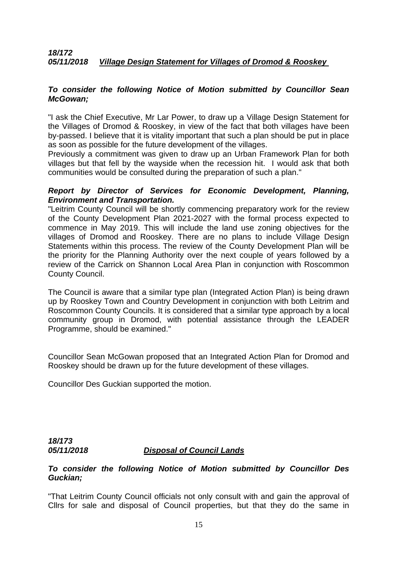### *18/172 05/11/2018 Village Design Statement for Villages of Dromod & Rooskey*

### *To consider the following Notice of Motion submitted by Councillor Sean McGowan;*

"I ask the Chief Executive, Mr Lar Power, to draw up a Village Design Statement for the Villages of Dromod & Rooskey, in view of the fact that both villages have been by-passed. I believe that it is vitality important that such a plan should be put in place as soon as possible for the future development of the villages.

Previously a commitment was given to draw up an Urban Framework Plan for both villages but that fell by the wayside when the recession hit. I would ask that both communities would be consulted during the preparation of such a plan."

### *Report by Director of Services for Economic Development, Planning, Environment and Transportation.*

"Leitrim County Council will be shortly commencing preparatory work for the review of the County Development Plan 2021-2027 with the formal process expected to commence in May 2019. This will include the land use zoning objectives for the villages of Dromod and Rooskey. There are no plans to include Village Design Statements within this process. The review of the County Development Plan will be the priority for the Planning Authority over the next couple of years followed by a review of the Carrick on Shannon Local Area Plan in conjunction with Roscommon County Council.

The Council is aware that a similar type plan (Integrated Action Plan) is being drawn up by Rooskey Town and Country Development in conjunction with both Leitrim and Roscommon County Councils. It is considered that a similar type approach by a local community group in Dromod, with potential assistance through the LEADER Programme, should be examined."

Councillor Sean McGowan proposed that an Integrated Action Plan for Dromod and Rooskey should be drawn up for the future development of these villages.

Councillor Des Guckian supported the motion.

# *18/173 05/11/2018 Disposal of Council Lands*

# *To consider the following Notice of Motion submitted by Councillor Des Guckian;*

"That Leitrim County Council officials not only consult with and gain the approval of Cllrs for sale and disposal of Council properties, but that they do the same in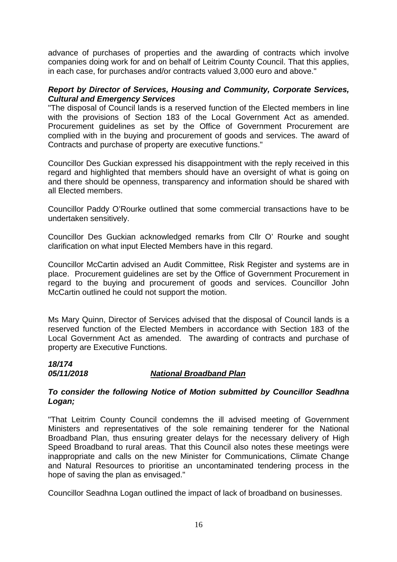advance of purchases of properties and the awarding of contracts which involve companies doing work for and on behalf of Leitrim County Council. That this applies, in each case, for purchases and/or contracts valued 3,000 euro and above."

# *Report by Director of Services, Housing and Community, Corporate Services, Cultural and Emergency Services*

"The disposal of Council lands is a reserved function of the Elected members in line with the provisions of Section 183 of the Local Government Act as amended. Procurement guidelines as set by the Office of Government Procurement are complied with in the buying and procurement of goods and services. The award of Contracts and purchase of property are executive functions."

Councillor Des Guckian expressed his disappointment with the reply received in this regard and highlighted that members should have an oversight of what is going on and there should be openness, transparency and information should be shared with all Elected members.

Councillor Paddy O'Rourke outlined that some commercial transactions have to be undertaken sensitively.

Councillor Des Guckian acknowledged remarks from Cllr O' Rourke and sought clarification on what input Elected Members have in this regard.

Councillor McCartin advised an Audit Committee, Risk Register and systems are in place. Procurement guidelines are set by the Office of Government Procurement in regard to the buying and procurement of goods and services. Councillor John McCartin outlined he could not support the motion.

Ms Mary Quinn, Director of Services advised that the disposal of Council lands is a reserved function of the Elected Members in accordance with Section 183 of the Local Government Act as amended. The awarding of contracts and purchase of property are Executive Functions.

# *18/174*

# *05/11/2018 National Broadband Plan*

# *To consider the following Notice of Motion submitted by Councillor Seadhna Logan;*

"That Leitrim County Council condemns the ill advised meeting of Government Ministers and representatives of the sole remaining tenderer for the National Broadband Plan, thus ensuring greater delays for the necessary delivery of High Speed Broadband to rural areas. That this Council also notes these meetings were inappropriate and calls on the new Minister for Communications, Climate Change and Natural Resources to prioritise an uncontaminated tendering process in the hope of saving the plan as envisaged."

Councillor Seadhna Logan outlined the impact of lack of broadband on businesses.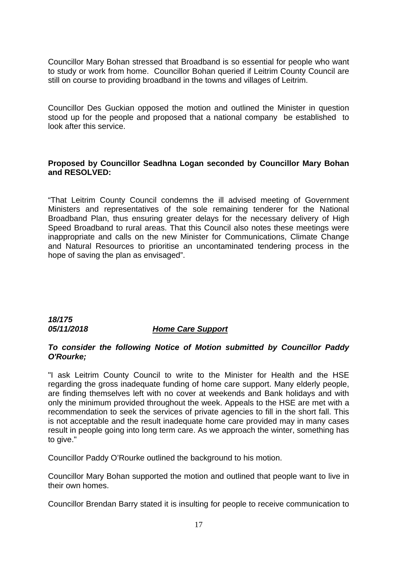Councillor Mary Bohan stressed that Broadband is so essential for people who want to study or work from home. Councillor Bohan queried if Leitrim County Council are still on course to providing broadband in the towns and villages of Leitrim.

Councillor Des Guckian opposed the motion and outlined the Minister in question stood up for the people and proposed that a national company be established to look after this service.

# **Proposed by Councillor Seadhna Logan seconded by Councillor Mary Bohan and RESOLVED:**

"That Leitrim County Council condemns the ill advised meeting of Government Ministers and representatives of the sole remaining tenderer for the National Broadband Plan, thus ensuring greater delays for the necessary delivery of High Speed Broadband to rural areas. That this Council also notes these meetings were inappropriate and calls on the new Minister for Communications, Climate Change and Natural Resources to prioritise an uncontaminated tendering process in the hope of saving the plan as envisaged".

# *18/175 05/11/2018 Home Care Support*

# *To consider the following Notice of Motion submitted by Councillor Paddy O'Rourke;*

"I ask Leitrim County Council to write to the Minister for Health and the HSE regarding the gross inadequate funding of home care support. Many elderly people, are finding themselves left with no cover at weekends and Bank holidays and with only the minimum provided throughout the week. Appeals to the HSE are met with a recommendation to seek the services of private agencies to fill in the short fall. This is not acceptable and the result inadequate home care provided may in many cases result in people going into long term care. As we approach the winter, something has to give."

Councillor Paddy O'Rourke outlined the background to his motion.

Councillor Mary Bohan supported the motion and outlined that people want to live in their own homes.

Councillor Brendan Barry stated it is insulting for people to receive communication to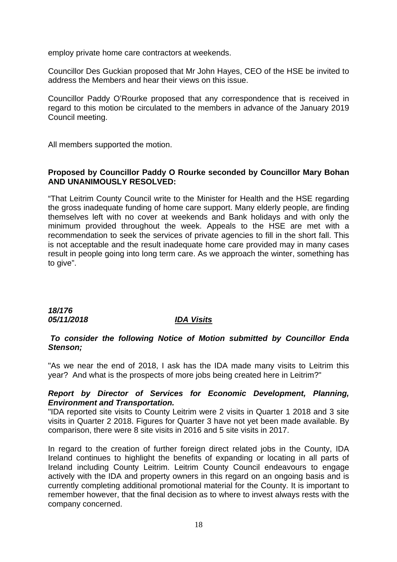employ private home care contractors at weekends.

Councillor Des Guckian proposed that Mr John Hayes, CEO of the HSE be invited to address the Members and hear their views on this issue.

Councillor Paddy O'Rourke proposed that any correspondence that is received in regard to this motion be circulated to the members in advance of the January 2019 Council meeting.

All members supported the motion.

# **Proposed by Councillor Paddy O Rourke seconded by Councillor Mary Bohan AND UNANIMOUSLY RESOLVED:**

"That Leitrim County Council write to the Minister for Health and the HSE regarding the gross inadequate funding of home care support. Many elderly people, are finding themselves left with no cover at weekends and Bank holidays and with only the minimum provided throughout the week. Appeals to the HSE are met with a recommendation to seek the services of private agencies to fill in the short fall. This is not acceptable and the result inadequate home care provided may in many cases result in people going into long term care. As we approach the winter, something has to give".

*18/176 05/11/2018 IDA Visits*

### *To consider the following Notice of Motion submitted by Councillor Enda Stenson;*

"As we near the end of 2018, I ask has the IDA made many visits to Leitrim this year? And what is the prospects of more jobs being created here in Leitrim?"

# *Report by Director of Services for Economic Development, Planning, Environment and Transportation.*

"IDA reported site visits to County Leitrim were 2 visits in Quarter 1 2018 and 3 site visits in Quarter 2 2018. Figures for Quarter 3 have not yet been made available. By comparison, there were 8 site visits in 2016 and 5 site visits in 2017.

In regard to the creation of further foreign direct related jobs in the County, IDA Ireland continues to highlight the benefits of expanding or locating in all parts of Ireland including County Leitrim. Leitrim County Council endeavours to engage actively with the IDA and property owners in this regard on an ongoing basis and is currently completing additional promotional material for the County. It is important to remember however, that the final decision as to where to invest always rests with the company concerned.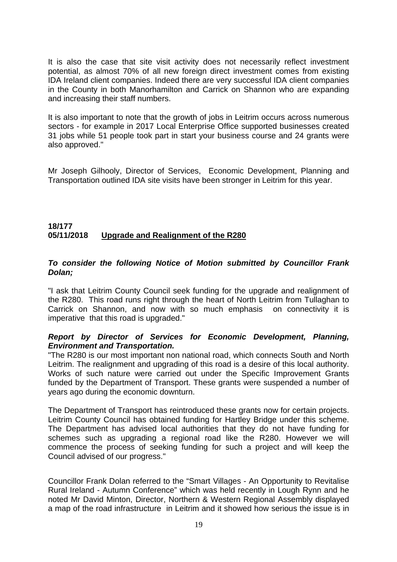It is also the case that site visit activity does not necessarily reflect investment potential, as almost 70% of all new foreign direct investment comes from existing IDA Ireland client companies. Indeed there are very successful IDA client companies in the County in both Manorhamilton and Carrick on Shannon who are expanding and increasing their staff numbers.

It is also important to note that the growth of jobs in Leitrim occurs across numerous sectors - for example in 2017 Local Enterprise Office supported businesses created 31 jobs while 51 people took part in start your business course and 24 grants were also approved."

Mr Joseph Gilhooly, Director of Services, Economic Development, Planning and Transportation outlined IDA site visits have been stronger in Leitrim for this year.

# **18/177 05/11/2018 Upgrade and Realignment of the R280**

# *To consider the following Notice of Motion submitted by Councillor Frank Dolan;*

"I ask that Leitrim County Council seek funding for the upgrade and realignment of the R280. This road runs right through the heart of North Leitrim from Tullaghan to Carrick on Shannon, and now with so much emphasis on connectivity it is imperative that this road is upgraded."

# *Report by Director of Services for Economic Development, Planning, Environment and Transportation.*

"The R280 is our most important non national road, which connects South and North Leitrim. The realignment and upgrading of this road is a desire of this local authority. Works of such nature were carried out under the Specific Improvement Grants funded by the Department of Transport. These grants were suspended a number of years ago during the economic downturn.

The Department of Transport has reintroduced these grants now for certain projects. Leitrim County Council has obtained funding for Hartley Bridge under this scheme. The Department has advised local authorities that they do not have funding for schemes such as upgrading a regional road like the R280. However we will commence the process of seeking funding for such a project and will keep the Council advised of our progress."

Councillor Frank Dolan referred to the "Smart Villages - An Opportunity to Revitalise Rural Ireland - Autumn Conference" which was held recently in Lough Rynn and he noted Mr David Minton, Director, Northern & Western Regional Assembly displayed a map of the road infrastructure in Leitrim and it showed how serious the issue is in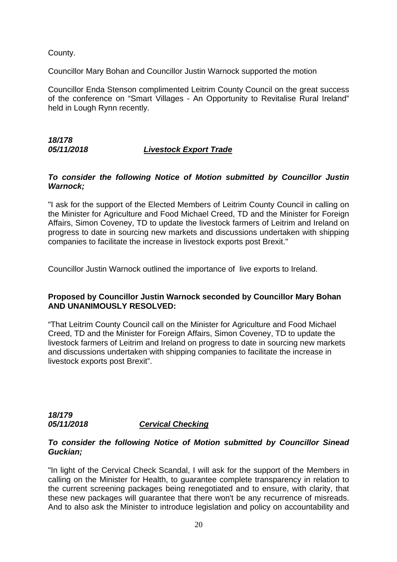County.

Councillor Mary Bohan and Councillor Justin Warnock supported the motion

Councillor Enda Stenson complimented Leitrim County Council on the great success of the conference on "Smart Villages - An Opportunity to Revitalise Rural Ireland" held in Lough Rynn recently.

# *18/178*

# *05/11/2018 Livestock Export Trade*

# *To consider the following Notice of Motion submitted by Councillor Justin Warnock;*

"I ask for the support of the Elected Members of Leitrim County Council in calling on the Minister for Agriculture and Food Michael Creed, TD and the Minister for Foreign Affairs, Simon Coveney, TD to update the livestock farmers of Leitrim and Ireland on progress to date in sourcing new markets and discussions undertaken with shipping companies to facilitate the increase in livestock exports post Brexit."

Councillor Justin Warnock outlined the importance of live exports to Ireland.

# **Proposed by Councillor Justin Warnock seconded by Councillor Mary Bohan AND UNANIMOUSLY RESOLVED:**

"That Leitrim County Council call on the Minister for Agriculture and Food Michael Creed, TD and the Minister for Foreign Affairs, Simon Coveney, TD to update the livestock farmers of Leitrim and Ireland on progress to date in sourcing new markets and discussions undertaken with shipping companies to facilitate the increase in livestock exports post Brexit".

# *18/179 05/11/2018 Cervical Checking*

### *To consider the following Notice of Motion submitted by Councillor Sinead Guckian;*

"In light of the Cervical Check Scandal, I will ask for the support of the Members in calling on the Minister for Health, to guarantee complete transparency in relation to the current screening packages being renegotiated and to ensure, with clarity, that these new packages will guarantee that there won't be any recurrence of misreads. And to also ask the Minister to introduce legislation and policy on accountability and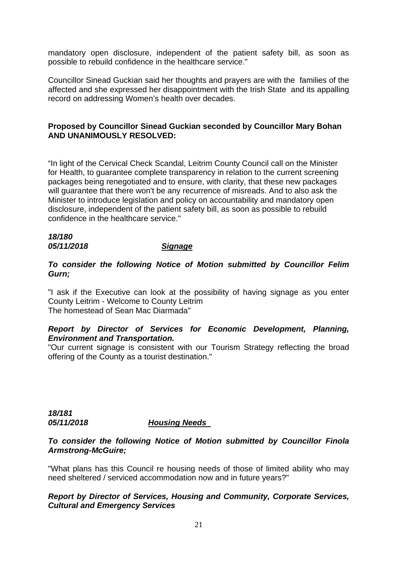mandatory open disclosure, independent of the patient safety bill, as soon as possible to rebuild confidence in the healthcare service."

Councillor Sinead Guckian said her thoughts and prayers are with the families of the affected and she expressed her disappointment with the Irish State and its appalling record on addressing Women's health over decades.

# **Proposed by Councillor Sinead Guckian seconded by Councillor Mary Bohan AND UNANIMOUSLY RESOLVED:**

"In light of the Cervical Check Scandal, Leitrim County Council call on the Minister for Health, to guarantee complete transparency in relation to the current screening packages being renegotiated and to ensure, with clarity, that these new packages will guarantee that there won't be any recurrence of misreads. And to also ask the Minister to introduce legislation and policy on accountability and mandatory open disclosure, independent of the patient safety bill, as soon as possible to rebuild confidence in the healthcare service."

# *18/180 05/11/2018 Signage*

*To consider the following Notice of Motion submitted by Councillor Felim Gurn;* 

"I ask if the Executive can look at the possibility of having signage as you enter County Leitrim - Welcome to County Leitrim The homestead of Sean Mac Diarmada"

# *Report by Director of Services for Economic Development, Planning, Environment and Transportation.*

"Our current signage is consistent with our Tourism Strategy reflecting the broad offering of the County as a tourist destination."

### *18/181 05/11/2018 Housing Needs*

### *To consider the following Notice of Motion submitted by Councillor Finola Armstrong-McGuire;*

"What plans has this Council re housing needs of those of limited ability who may need sheltered / serviced accommodation now and in future years?"

# *Report by Director of Services, Housing and Community, Corporate Services, Cultural and Emergency Services*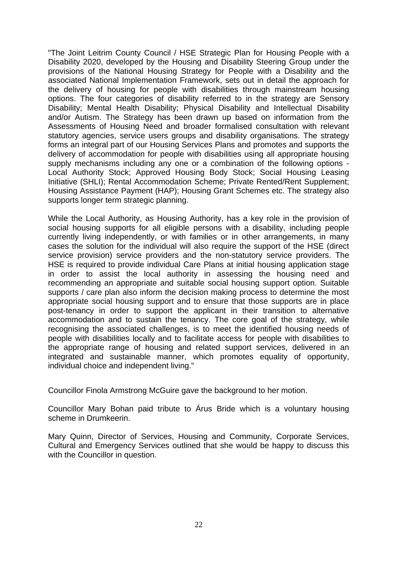"The Joint Leitrim County Council / HSE Strategic Plan for Housing People with a Disability 2020, developed by the Housing and Disability Steering Group under the provisions of the National Housing Strategy for People with a Disability and the associated National Implementation Framework, sets out in detail the approach for the delivery of housing for people with disabilities through mainstream housing options. The four categories of disability referred to in the strategy are Sensory Disability; Mental Health Disability; Physical Disability and Intellectual Disability and/or Autism. The Strategy has been drawn up based on information from the Assessments of Housing Need and broader formalised consultation with relevant statutory agencies, service users groups and disability organisations. The strategy forms an integral part of our Housing Services Plans and promotes and supports the delivery of accommodation for people with disabilities using all appropriate housing supply mechanisms including any one or a combination of the following options - Local Authority Stock; Approved Housing Body Stock; Social Housing Leasing Initiative (SHLI); Rental Accommodation Scheme; Private Rented/Rent Supplement; Housing Assistance Payment (HAP); Housing Grant Schemes etc. The strategy also supports longer term strategic planning.

While the Local Authority, as Housing Authority, has a key role in the provision of social housing supports for all eligible persons with a disability, including people currently living independently, or with families or in other arrangements, in many cases the solution for the individual will also require the support of the HSE (direct service provision) service providers and the non-statutory service providers. The HSE is required to provide individual Care Plans at initial housing application stage in order to assist the local authority in assessing the housing need and recommending an appropriate and suitable social housing support option. Suitable supports / care plan also inform the decision making process to determine the most appropriate social housing support and to ensure that those supports are in place post-tenancy in order to support the applicant in their transition to alternative accommodation and to sustain the tenancy. The core goal of the strategy, while recognising the associated challenges, is to meet the identified housing needs of people with disabilities locally and to facilitate access for people with disabilities to the appropriate range of housing and related support services, delivered in an integrated and sustainable manner, which promotes equality of opportunity, individual choice and independent living."

Councillor Finola Armstrong McGuire gave the background to her motion.

Councillor Mary Bohan paid tribute to Árus Bride which is a voluntary housing scheme in Drumkeerin.

Mary Quinn, Director of Services, Housing and Community, Corporate Services, Cultural and Emergency Services outlined that she would be happy to discuss this with the Councillor in question.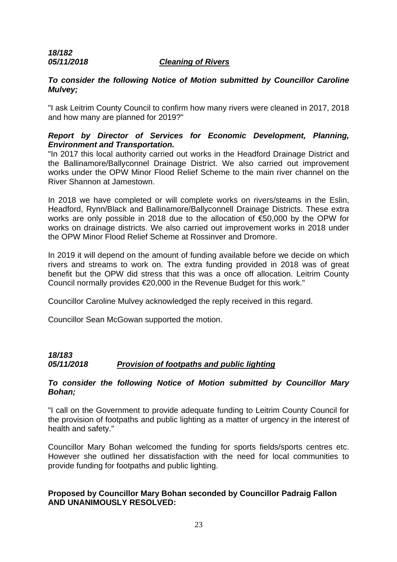# *18/182*

### *05/11/2018 Cleaning of Rivers*

# *To consider the following Notice of Motion submitted by Councillor Caroline Mulvey;*

"I ask Leitrim County Council to confirm how many rivers were cleaned in 2017, 2018 and how many are planned for 2019?"

# *Report by Director of Services for Economic Development, Planning, Environment and Transportation.*

"In 2017 this local authority carried out works in the Headford Drainage District and the Ballinamore/Ballyconnel Drainage District. We also carried out improvement works under the OPW Minor Flood Relief Scheme to the main river channel on the River Shannon at Jamestown.

In 2018 we have completed or will complete works on rivers/steams in the Eslin, Headford, Rynn/Black and Ballinamore/Ballyconnell Drainage Districts. These extra works are only possible in 2018 due to the allocation of €50,000 by the OPW for works on drainage districts. We also carried out improvement works in 2018 under the OPW Minor Flood Relief Scheme at Rossinver and Dromore.

In 2019 it will depend on the amount of funding available before we decide on which rivers and streams to work on. The extra funding provided in 2018 was of great benefit but the OPW did stress that this was a once off allocation. Leitrim County Council normally provides €20,000 in the Revenue Budget for this work."

Councillor Caroline Mulvey acknowledged the reply received in this regard.

Councillor Sean McGowan supported the motion.

# *18/183 05/11/2018 Provision of footpaths and public lighting*

# *To consider the following Notice of Motion submitted by Councillor Mary Bohan;*

"I call on the Government to provide adequate funding to Leitrim County Council for the provision of footpaths and public lighting as a matter of urgency in the interest of health and safety."

Councillor Mary Bohan welcomed the funding for sports fields/sports centres etc. However she outlined her dissatisfaction with the need for local communities to provide funding for footpaths and public lighting.

# **Proposed by Councillor Mary Bohan seconded by Councillor Padraig Fallon AND UNANIMOUSLY RESOLVED:**